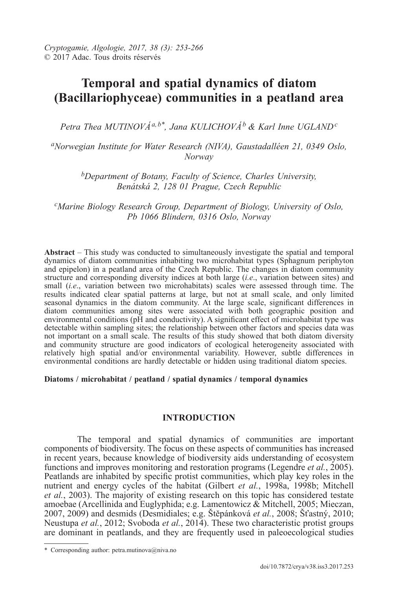# **Temporal and spatial dynamics of diatom (Bacillariophyceae) communities in a peatland area**

*Petra Thea MUTINOVáa,b\*, Jana KULICHOVá<sup>b</sup> & Karl Inne UGLAND<sup>c</sup>*

*<sup>a</sup>Norwegian Institute for Water Research (NIVA), Gaustadalléen 21, 0349 Oslo, Norway*

*<sup>b</sup>Department of Botany, Faculty of Science, Charles University, Benátská 2, 128 01 Prague, Czech Republic*

*<sup>c</sup>Marine Biology Research Group, Department of Biology, University of Oslo, Pb 1066 Blindern, 0316 Oslo, Norway*

**Abstract** – This study was conducted to simultaneously investigate the spatial and temporal dynamics of diatom communities inhabiting two microhabitat types (Sphagnum periphyton and epipelon) in a peatland area of the Czech Republic. The changes in diatom community structure and corresponding diversity indices at both large (*i.e*., variation between sites) and small (*i.e*., variation between two microhabitats) scales were assessed through time. The results indicated clear spatial patterns at large, but not at small scale, and only limited seasonal dynamics in the diatom community. At the large scale, significant differences in diatom communities among sites were associated with both geographic position and environmental conditions (pH and conductivity). A significant effect of microhabitat type was detectable within sampling sites; the relationship between other factors and species data was not important on a small scale. The results of this study showed that both diatom diversity and community structure are good indicators of ecological heterogeneity associated with relatively high spatial and/or environmental variability. However, subtle differences in environmental conditions are hardly detectable or hidden using traditional diatom species.

# **Diatoms / microhabitat / peatland / spatial dynamics / temporal dynamics**

# **INTRODUCTION**

The temporal and spatial dynamics of communities are important components of biodiversity. The focus on these aspects of communities has increased in recent years, because knowledge of biodiversity aids understanding of ecosystem functions and improves monitoring and restoration programs (Legendre *et al.*, 2005). Peatlands are inhabited by specific protist communities, which play key roles in the nutrient and energy cycles of the habitat (Gilbert *et al.*, 1998a, 1998b; Mitchell *et al.*, 2003). The majority of existing research on this topic has considered testate amoebae (Arcellinida and Euglyphida; e.g. Lamentowicz  $\&$  Mitchell, 2005; Mieczan, 2007, 2009) and desmids (Desmidiales; e.g. Štěpánková *et al.*, 2008; Šťastný, 2010; Neustupa *et al.*, 2012; Svoboda *et al.*, 2014). These two characteristic protist groups are dominant in peatlands, and they are frequently used in paleoecological studies

<sup>\*</sup> Corresponding author: petra.mutinova@niva.no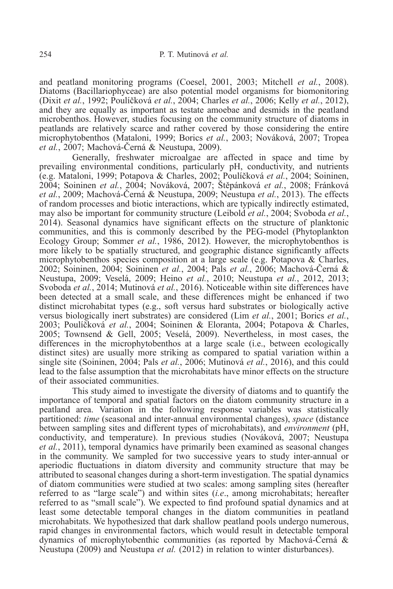and peatland monitoring programs (Coesel, 2001, 2003; Mitchell *et al.*, 2008). Diatoms (Bacillariophyceae) are also potential model organisms for biomonitoring (Dixit *et al.*, 1992; Poulíčková *et al.*, 2004; Charles *et al.*, 2006; Kelly *et al.*, 2012), and they are equally as important as testate amoebae and desmids in the peatland microbenthos. However, studies focusing on the community structure of diatoms in peatlands are relatively scarce and rather covered by those considering the entire microphytobenthos (Mataloni, 1999; Borics *et al.*, 2003; Nováková, 2007; Tropea *et al.*, 2007; Machová-Černá & Neustupa, 2009).

Generally, freshwater microalgae are affected in space and time by prevailing environmental conditions, particularly pH, conductivity, and nutrients (e.g. Mataloni, 1999; Potapova & Charles, 2002; Poulíčková *et al.*, 2004; Soininen, 2004; Soininen *et al.*, 2004; Nováková, 2007; Štěpánková *et al.*, 2008; Fránková *et al.*, 2009; Machová-Černá & Neustupa, 2009; Neustupa *et al.*, 2013). The effects of random processes and biotic interactions, which are typically indirectly estimated, may also be important for community structure (Leibold *et al.*, 2004; Svoboda *et al.*, 2014). Seasonal dynamics have significant effects on the structure of planktonic communities, and this is commonly described by the PEG-model (Phytoplankton Ecology Group; Sommer *et al.*, 1986, 2012). However, the microphytobenthos is more likely to be spatially structured, and geographic distance significantly affects microphytobenthos species composition at a large scale (e.g. Potapova & Charles, 2002; Soininen, 2004; Soininen *et al.*, 2004; Pals *et al.*, 2006; Machová-Černá & Neustupa, 2009; Veselá, 2009; Heino *et al.*, 2010; Neustupa *et al.*, 2012, 2013; Svoboda *et al.*, 2014; Mutinová *et al.*, 2016). Noticeable within site differences have been detected at a small scale, and these differences might be enhanced if two distinct microhabitat types (e.g., soft versus hard substrates or biologically active versus biologically inert substrates) are considered (Lim *et al.*, 2001; Borics *et al.*, 2003; Poulíčková *et al.*, 2004; Soininen & Eloranta, 2004; Potapova & Charles, 2005; Townsend & Gell, 2005; Veselá, 2009). Nevertheless, in most cases, the differences in the microphytobenthos at a large scale (i.e., between ecologically distinct sites) are usually more striking as compared to spatial variation within a single site (Soininen, 2004; Pals *et al.*, 2006; Mutinová *et al.*, 2016), and this could lead to the false assumption that the microhabitats have minor effects on the structure of their associated communities.

This study aimed to investigate the diversity of diatoms and to quantify the importance of temporal and spatial factors on the diatom community structure in a peatland area. Variation in the following response variables was statistically partitioned: *time* (seasonal and inter-annual environmental changes), *space* (distance between sampling sites and different types of microhabitats), and *environment* (pH, conductivity, and temperature). In previous studies (Nováková, 2007; Neustupa *et al.*, 2011), temporal dynamics have primarily been examined as seasonal changes in the community. We sampled for two successive years to study inter-annual or aperiodic fluctuations in diatom diversity and community structure that may be attributed to seasonal changes during a short-term investigation. The spatial dynamics of diatom communities were studied at two scales: among sampling sites (hereafter referred to as "large scale") and within sites (*i.e*., among microhabitats; hereafter referred to as "small scale"). We expected to find profound spatial dynamics and at least some detectable temporal changes in the diatom communities in peatland microhabitats. We hypothesized that dark shallow peatland pools undergo numerous, rapid changes in environmental factors, which would result in detectable temporal dynamics of microphytobenthic communities (as reported by Machová-Černá & Neustupa (2009) and Neustupa *et al.* (2012) in relation to winter disturbances).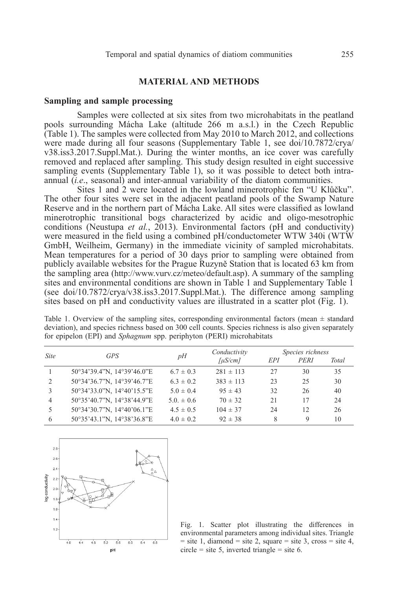# **MATERIAL AND METHODS**

#### **Sampling and sample processing**

Samples were collected at six sites from two microhabitats in the peatland pools surrounding Mácha Lake (altitude 266 m a.s.l.) in the Czech Republic (Table 1). The samples were collected from May 2010 to March 2012, and collections were made during all four seasons (Supplementary Table 1, see doi/10.7872/crya/ v38.iss3.2017.Suppl.Mat.). During the winter months, an ice cover was carefully removed and replaced after sampling. This study design resulted in eight successive sampling events (Supplementary Table 1), so it was possible to detect both intraannual (*i.e*., seasonal) and inter-annual variability of the diatom communities.

Sites 1 and 2 were located in the lowland minerotrophic fen "U Klůčku". The other four sites were set in the adjacent peatland pools of the Swamp Nature Reserve and in the northern part of Mácha Lake. All sites were classified as lowland minerotrophic transitional bogs characterized by acidic and oligo-mesotrophic conditions (Neustupa *et al.*, 2013). Environmental factors (pH and conductivity) were measured in the field using a combined pH/conductometer WTW 340i (WTW GmbH, Weilheim, Germany) in the immediate vicinity of sampled microhabitats. Mean temperatures for a period of 30 days prior to sampling were obtained from publicly available websites for the Prague Ruzyně Station that is located 63 km from the sampling area (http://www.vurv.cz/meteo/default.asp). A summary of the sampling sites and environmental conditions are shown in Table 1 and Supplementary Table 1 (see doi/10.7872/crya/v38.iss3.2017.Suppl.Mat.). The difference among sampling sites based on pH and conductivity values are illustrated in a scatter plot (Fig. 1).

Table 1. Overview of the sampling sites, corresponding environmental factors (mean  $\pm$  standard deviation), and species richness based on 300 cell counts. Species richness is also given separately for epipelon (EPI) and *Sphagnum* spp. periphyton (PERI) microhabitats

| <b>Site</b>    | <b>GPS</b>                 | pH            | Conductivity             | Species richness |      |       |
|----------------|----------------------------|---------------|--------------------------|------------------|------|-------|
|                |                            |               | $\lceil \mu S/cm \rceil$ | EPI              | PERI | Total |
|                | 50°34'39.4"N, 14°39'46.0"E | $6.7 \pm 0.3$ | $281 \pm 113$            | 27               | 30   | 35    |
| $\overline{2}$ | 50°34'36.7"N, 14°39'46.7"E | $6.3 \pm 0.2$ | $383 \pm 113$            | 23               | 25   | 30    |
| 3              | 50°34'33.0"N, 14°40'15.5"E | $5.0 \pm 0.4$ | $95 \pm 43$              | 32               | 26   | 40    |
| 4              | 50°35'40.7"N, 14°38'44.9"E | $5.0 \pm 0.6$ | $70 \pm 32$              | 21               | 17   | 24    |
| 5              | 50°34'30.7"N, 14°40'06.1"E | $4.5 \pm 0.5$ | $104 \pm 37$             | 24               | 12.  | 26    |
| 6              | 50°35'43.1"N, 14°38'36.8"E | $4.0 \pm 0.2$ | $92 \pm 38$              | 8                | 9    | 10    |



Fig. 1. Scatter plot illustrating the differences in environmental parameters among individual sites. Triangle  $=$  site 1, diamond  $=$  site 2, square  $=$  site 3, cross  $=$  site 4,  $circle = site 5$ , inverted triangle = site 6.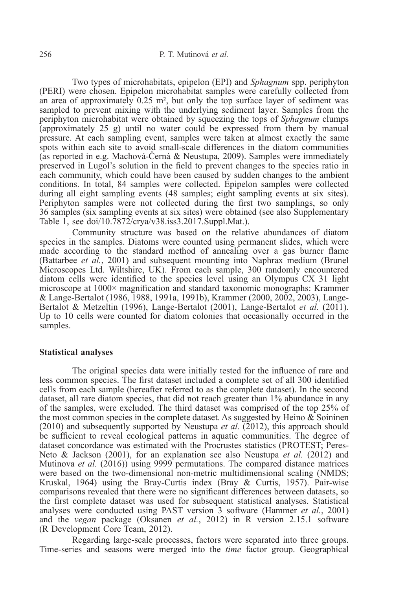Two types of microhabitats, epipelon (EPI) and *Sphagnum* spp. periphyton (PERI) were chosen. Epipelon microhabitat samples were carefully collected from an area of approximately 0.25 m², but only the top surface layer of sediment was sampled to prevent mixing with the underlying sediment layer. Samples from the periphyton microhabitat were obtained by squeezing the tops of *Sphagnum* clumps (approximately 25 g) until no water could be expressed from them by manual pressure. At each sampling event, samples were taken at almost exactly the same spots within each site to avoid small-scale differences in the diatom communities (as reported in e.g. Machová-Černá & Neustupa, 2009). Samples were immediately preserved in Lugol's solution in the field to prevent changes to the species ratio in each community, which could have been caused by sudden changes to the ambient conditions. In total, 84 samples were collected. Epipelon samples were collected during all eight sampling events (48 samples; eight sampling events at six sites). Periphyton samples were not collected during the first two samplings, so only 36 samples (six sampling events at six sites) were obtained (see also Supplementary Table 1, see doi/10.7872/crya/v38.iss3.2017.Suppl.Mat.).

Community structure was based on the relative abundances of diatom species in the samples. Diatoms were counted using permanent slides, which were made according to the standard method of annealing over a gas burner flame (Battarbee *et al.*, 2001) and subsequent mounting into Naphrax medium (Brunel Microscopes Ltd. Wiltshire, UK). From each sample, 300 randomly encountered diatom cells were identified to the species level using an Olympus CX 31 light microscope at 1000× magnification and standard taxonomic monographs: Krammer & Lange-Bertalot (1986, 1988, 1991a, 1991b), Krammer (2000, 2002, 2003), Lange-Bertalot & Metzeltin (1996), Lange-Bertalot (2001), Lange-Bertalot *et al.* (2011). Up to 10 cells were counted for diatom colonies that occasionally occurred in the samples.

# **Statistical analyses**

The original species data were initially tested for the influence of rare and less common species. The first dataset included a complete set of all 300 identified cells from each sample (hereafter referred to as the complete dataset). In the second dataset, all rare diatom species, that did not reach greater than 1% abundance in any of the samples, were excluded. The third dataset was comprised of the top 25% of the most common species in the complete dataset. As suggested by Heino  $\&$  Soininen (2010) and subsequently supported by Neustupa *et al.* (2012), this approach should be sufficient to reveal ecological patterns in aquatic communities. The degree of dataset concordance was estimated with the Procrustes statistics (PROTEST; Peres-Neto & Jackson (2001), for an explanation see also Neustupa *et al.* (2012) and Mutinova *et al.* (2016)) using 9999 permutations. The compared distance matrices were based on the two-dimensional non-metric multidimensional scaling (NMDS; Kruskal, 1964) using the Bray-Curtis index (Bray & Curtis, 1957). Pair-wise comparisons revealed that there were no significant differences between datasets, so the first complete dataset was used for subsequent statistical analyses. Statistical analyses were conducted using PAST version 3 software (Hammer *et al.*, 2001) and the *vegan* package (Oksanen *et al.*, 2012) in R version 2.15.1 software (R Development Core Team, 2012).

Regarding large-scale processes, factors were separated into three groups. Time-series and seasons were merged into the *time* factor group. Geographical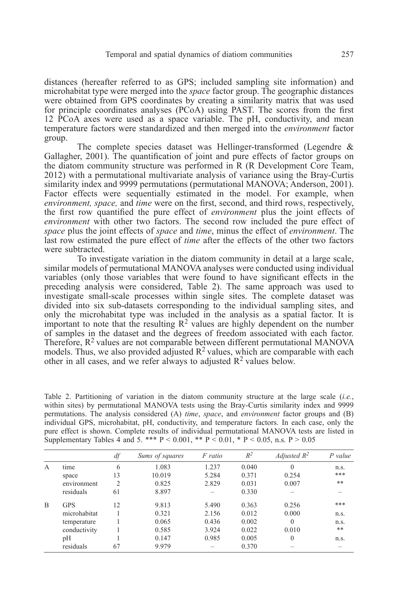distances (hereafter referred to as GPS; included sampling site information) and microhabitat type were merged into the *space* factor group. The geographic distances were obtained from GPS coordinates by creating a similarity matrix that was used for principle coordinates analyses (PCoA) using PAST. The scores from the first 12 PCoA axes were used as a space variable. The pH, conductivity, and mean temperature factors were standardized and then merged into the *environment* factor group.

The complete species dataset was Hellinger-transformed (Legendre & Gallagher, 2001). The quantification of joint and pure effects of factor groups on the diatom community structure was performed in R (R Development Core Team, 2012) with a permutational multivariate analysis of variance using the Bray-Curtis similarity index and 9999 permutations (permutational MANOVA; Anderson, 2001). Factor effects were sequentially estimated in the model. For example, when *environment, space,* and *time* were on the first, second, and third rows, respectively, the first row quantified the pure effect of *environment* plus the joint effects of *environment* with other two factors. The second row included the pure effect of *space* plus the joint effects of *space* and *time*, minus the effect of *environment*. The last row estimated the pure effect of *time* after the effects of the other two factors were subtracted.

To investigate variation in the diatom community in detail atalarge scale, similar models of permutational MANOVA analyses were conducted using individual variables (only those variables that were found to have significant effects in the preceding analysis were considered, Table 2). The same approach was used to investigate small-scale processes within single sites. The complete dataset was divided into six sub-datasets corresponding to the individual sampling sites, and only the microhabitat type was included in the analysis as a spatial factor. It is important to note that the resulting  $\mathbb{R}^2$  values are highly dependent on the number of samples in the dataset and the degrees of freedom associated with each factor. Therefore,  $R^2$  values are not comparable between different permutational MANOVA models. Thus, we also provided adjusted  $R^2$  values, which are comparable with each other in all cases, and we refer always to adjusted  $\mathbb{R}^2$  values below.

Table 2. Partitioning of variation in the diatom community structure at the large scale (*i.e.*, within sites) by permutational MANOVA tests using the Bray-Curtis similarity index and 9999 permutations. The analysis considered (A) *time*, *space*, and *environment* factor groups and (B) individual GPS, microhabitat, pH, conductivity, and temperature factors. In each case, only the pure effect is shown. Complete results of individual permutational MANOVA tests are listed in Supplementary Tables 4 and 5. \*\*\*  $P < 0.001$ , \*\*  $P < 0.01$ , \*  $P < 0.05$ , n.s.  $P > 0.05$ 

|                |              | df | Sums of squares | F ratio | $R^2$ | Adjusted $R^2$ | P value |
|----------------|--------------|----|-----------------|---------|-------|----------------|---------|
| $\overline{A}$ | time         | 6  | 1.083           | 1.237   | 0.040 | $\theta$       | n.s.    |
|                | space        | 13 | 10.019          | 5.284   | 0.371 | 0.254          | ***     |
|                | environment  | 2  | 0.825           | 2.829   | 0.031 | 0.007          | **      |
|                | residuals    | 61 | 8.897           |         | 0.330 |                |         |
| B              | <b>GPS</b>   | 12 | 9.813           | 5.490   | 0.363 | 0.256          | ***     |
|                | microhabitat |    | 0.321           | 2.156   | 0.012 | 0.000          | n.s.    |
|                | temperature  |    | 0.065           | 0.436   | 0.002 | $\theta$       | n.s.    |
|                | conductivity |    | 0.585           | 3.924   | 0.022 | 0.010          | **      |
|                | pH           |    | 0.147           | 0.985   | 0.005 | $\mathbf{0}$   | n.s.    |
|                | residuals    | 67 | 9.979           |         | 0.370 |                |         |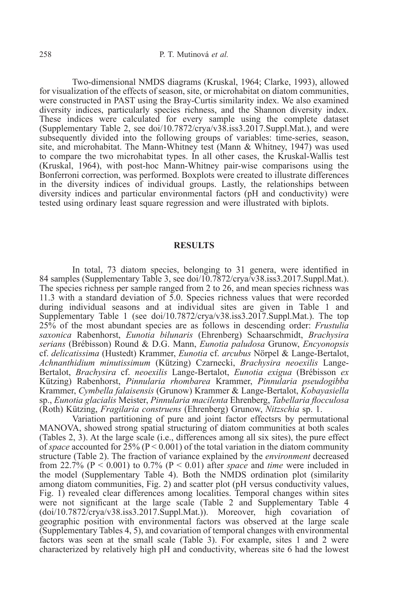Two-dimensional NMDS diagrams (Kruskal, 1964; Clarke, 1993), allowed for visualization of the effects of season, site, or microhabitat on diatom communities, were constructed in PAST using the Bray-Curtis similarity index. We also examined diversity indices, particularly species richness, and the Shannon diversity index. These indices were calculated for every sample using the complete dataset (Supplementary Table 2, see doi/10.7872/crya/v38.iss3.2017.Suppl.Mat.), and were subsequently divided into the following groups of variables: time-series, season, site, and microhabitat. The Mann-Whitney test (Mann & Whitney, 1947) was used to compare the two microhabitat types. In all other cases, the Kruskal-Wallis test (Kruskal, 1964), with post-hoc Mann-Whitney pair-wise comparisons using the Bonferroni correction, was performed. Boxplots were created to illustrate differences in the diversity indices of individual groups. Lastly, the relationships between diversity indices and particular environmental factors (pH and conductivity) were tested using ordinary least square regression and were illustrated with biplots.

#### **RESULTS**

In total, 73 diatom species, belonging to 31 genera, were identified in 84 samples (Supplementary Table 3, see doi/10.7872/crya/v38.iss3.2017.Suppl.Mat.). The species richness per sample ranged from 2 to 26, and mean species richness was 11.3 with a standard deviation of 5.0. Species richness values that were recorded during individual seasons and at individual sites are given in Table 1 and Supplementary Table 1 (see doi/10.7872/crya/v38.iss3.2017.Suppl.Mat.). The top 25% of the most abundant species are as follows in descending order: *Frustulia saxonica* Rabenhorst, *Eunotia bilunaris* (Ehrenberg) Schaarschmidt, *Brachysira serians* (Brébisson) Round & D.G. Mann, *Eunotia paludosa* Grunow, *Encyonopsis* cf. *delicatissima* (Hustedt) Krammer, *Eunotia* cf. *arcubus* Nörpel & Lange-Bertalot, *Achnanthidium minutissimum* (Kützing) Czarnecki, *Brachysira neoexilis* Lange-Bertalot, *Brachysira* cf. *neoexilis* Lange-Bertalot, *Eunotia exigua* (Brébisson *ex* Kützing) Rabenhorst, *Pinnularia rhombarea* Krammer, *Pinnularia pseudogibba* Krammer, *Cymbella falaisensis* (Grunow) Krammer & Lange-Bertalot, *Kobayasiella* sp., *Eunotia glacialis* Meister, *Pinnularia macilenta* Ehrenberg, *Tabellaria flocculosa* (Roth) Kützing, *Fragilaria construens* (Ehrenberg) Grunow, *Nitzschia* sp. 1.

Variation partitioning of pure and joint factor effectsrs by permutational MANOVA, showed strong spatial structuring of diatom communities at both scales (Tables 2, 3). At the large scale (i.e., differences among all six sites), the pure effect of *space* accounted for  $25\%$  (P < 0.001) of the total variation in the diatom community structure (Table 2). The fraction of variance explained by the *environment* decreased from 22.7% ( $P < 0.001$ ) to 0.7% ( $P < 0.01$ ) after *space* and *time* were included in the model (Supplementary Table 4). Both the NMDS ordination plot (similarity among diatom communities, Fig. 2) and scatter plot (pH versus conductivity values, Fig. 1) revealed clear differences among localities. Temporal changes within sites were not significant at the large scale (Table 2 and Supplementary Table 4 (doi/10.7872/crya/v38.iss3.2017.Suppl.Mat.)). Moreover, high covariation of geographic position with environmental factors was observed at the large scale (Supplementary Tables 4, 5), and covariation of temporal changes with environmental factors was seen at the small scale (Table 3). For example, sites 1 and 2 were characterized by relatively high pH and conductivity, whereas site 6 had the lowest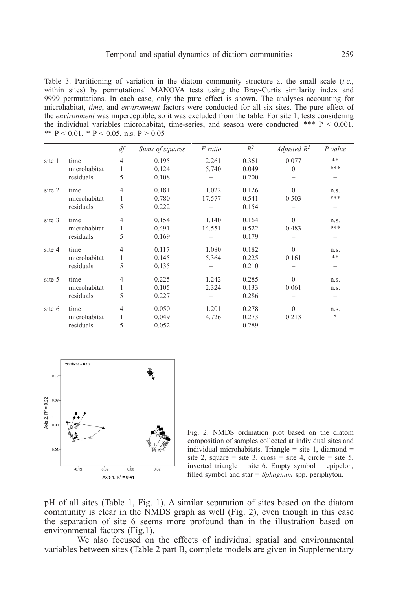Table 3. Partitioning of variation in the diatom community structure at the small scale (*i.e.*, within sites) by permutational MANOVA tests using the Bray-Curtis similarity index and 9999 permutations. In each case, only the pure effect is shown. The analyses accounting for microhabitat, *time*, and *environment* factors were conducted for all six sites. The pure effect of the *environment* was imperceptible, so it was excluded from the table. For site 1, tests considering the individual variables microhabitat, time-series, and season were conducted. \*\*\*  $P < 0.001$ , \*\*  $P < 0.01$ , \*  $P < 0.05$ , n.s.  $P > 0.05$ 

|        |              | df             | Sums of squares | F ratio | $R^2$ | Adjusted $R^2$ | $P$ value |
|--------|--------------|----------------|-----------------|---------|-------|----------------|-----------|
| site 1 | time         | $\overline{4}$ | 0.195           | 2.261   | 0.361 | 0.077          | $***$     |
|        | microhabitat | 1              | 0.124           | 5.740   | 0.049 | $\theta$       | ***       |
|        | residuals    | 5              | 0.108           |         | 0.200 |                |           |
| site 2 | time         | $\overline{4}$ | 0.181           | 1.022   | 0.126 | $\theta$       | n.s.      |
|        | microhabitat | 1              | 0.780           | 17.577  | 0.541 | 0.503          | ***       |
|        | residuals    | 5              | 0.222           |         | 0.154 |                |           |
| site 3 | time         | $\overline{4}$ | 0.154           | 1.140   | 0.164 | $\theta$       | n.s.      |
|        | microhabitat | 1              | 0.491           | 14.551  | 0.522 | 0.483          | ***       |
|        | residuals    | 5              | 0.169           |         | 0.179 |                |           |
| site 4 | time         | $\overline{4}$ | 0.117           | 1.080   | 0.182 | $\theta$       | n.s.      |
|        | microhabitat | 1              | 0.145           | 5.364   | 0.225 | 0.161          | **        |
|        | residuals    | 5              | 0.135           |         | 0.210 |                |           |
| site 5 | time         | $\overline{4}$ | 0.225           | 1.242   | 0.285 | $\mathbf{0}$   | n.s.      |
|        | microhabitat | 1              | 0.105           | 2.324   | 0.133 | 0.061          | n.s.      |
|        | residuals    | 5              | 0.227           |         | 0.286 |                |           |
| site 6 | time         | 4              | 0.050           | 1.201   | 0.278 | $\mathbf{0}$   | n.s.      |
|        | microhabitat | 1              | 0.049           | 4.726   | 0.273 | 0.213          | *         |
|        | residuals    | 5              | 0.052           |         | 0.289 |                |           |



Fig. 2. NMDS ordination plot based on the diatom composition of samples collected at individual sites and individual microhabitats. Triangle  $=$  site 1, diamond  $=$ site 2, square = site 3, cross = site 4, circle = site 5, inverted triangle = site 6. Empty symbol = epipelon*,* filled symbol and star = *Sphagnum* spp. periphyton.

pH of all sites (Table 1, Fig. 1). A similar separation of sites based on the diatom community is clear in the NMDS graph as well (Fig. 2), even though in this case the separation of site 6 seems more profound than in the illustration based on environmental factors (Fig.1).

We also focused on the effects of individual spatial and environmental variables between sites (Table 2 part B, complete models are given in Supplementary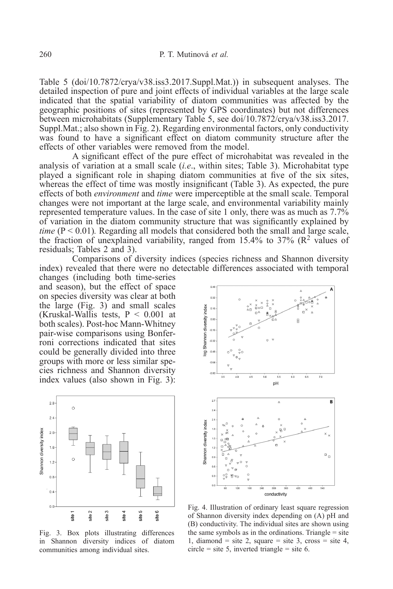Table 5 (doi/10.7872/crya/v38.iss3.2017.Suppl.Mat.)) in subsequent analyses. The detailed inspection of pure and joint effects of individual variables at the large scale indicated that the spatial variability of diatom communities was affected by the geographic positions of sites (represented by GPS coordinates) but not differences between microhabitats (Supplementary Table 5, see doi/10.7872/crya/v38.iss3.2017. Suppl.Mat.; also shown in Fig. 2). Regarding environmental factors, only conductivity was found to have a significant effect on diatom community structure after the effects of other variables were removed from the model.

A significant effect of the pure effect of microhabitat was revealed in the analysis of variation at a small scale (*i.e*., within sites; Table 3). Microhabitat type played a significant role in shaping diatom communities at five of the six sites, whereas the effect of time was mostly insignificant (Table 3). As expected, the pure effects of both *environment* and *time* were imperceptible at the small scale. Temporal changes were not important at the large scale, and environmental variability mainly represented temperature values. In the case of site 1 only, there was as much as 7.7% of variation in the diatom community structure that was significantly explained by *time*  $(P < 0.01)$ . Regarding all models that considered both the small and large scale, the fraction of unexplained variability, ranged from 15.4% to 37% ( $\mathbb{R}^2$  values of residuals; Tables 2 and 3).

Comparisons of diversity indices (species richness and Shannon diversity index) revealed that there were no detectable differences associated with temporal

changes (including both time-series and season), but the effect of space on species diversity was clear at both the large (Fig. 3) and small scales (Kruskal-Wallis tests,  $P < 0.001$  at both scales). Post-hoc Mann-Whitney pair-wise comparisons using Bonferroni corrections indicated that sites could be generally divided into three groups with more or less similar species richness and Shannon diversity index values (also shown in Fig. 3):



Fig. 3. Box plots illustrating differences in Shannon diversity indices of diatom communities among individual sites.



Fig. 4. Illustration of ordinary least square regression of Shannon diversity index depending on (A) pH and (B) conductivity. The individual sites are shown using the same symbols as in the ordinations. Triangle  $=$  site 1, diamond = site 2, square = site 3, cross = site 4, circle = site 5, inverted triangle = site 6.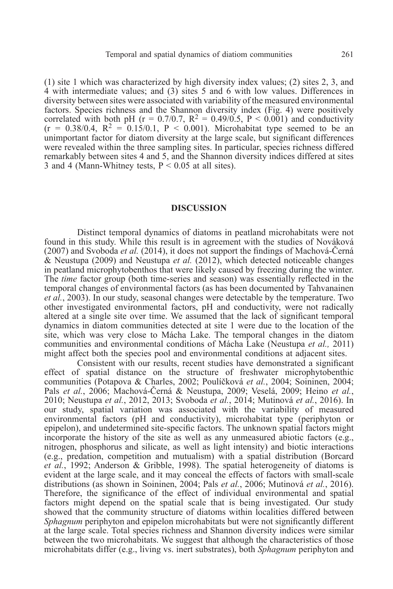(1) site 1 which was characterized by high diversity index values; (2) sites 2, 3, and 4 with intermediate values; and (3) sites 5 and 6 with low values. Differences in diversity between sites were associated with variability of the measured environmental factors. Species richness and the Shannon diversity index (Fig. 4) were positively correlated with both pH (r = 0.7/0.7,  $R^2 = 0.49/0.5$ ,  $P < 0.001$ ) and conductivity  $(r = 0.38/0.4, R^2 = 0.15/0.1, P < 0.001)$ . Microhabitat type seemed to be an unimportant factor for diatom diversity at the large scale, but significant differences were revealed within the three sampling sites. In particular, species richness differed remarkably between sites 4 and 5, and the Shannon diversity indices differed at sites 3 and 4 (Mann-Whitney tests,  $P \le 0.05$  at all sites).

# **DISCUSSION**

Distinct temporal dynamics of diatoms in peatland microhabitats were not found in this study. While this result is in agreement with the studies of Nováková (2007) and Svoboda *et al.* (2014), it does not support the findings of Machová-Černá & Neustupa (2009) and Neustupa *et al.* (2012), which detected noticeable changes in peatland microphytobenthos that were likely caused by freezing during the winter. The *time* factor group (both time-series and season) was essentially reflected in the temporal changes of environmental factors (as has been documented by Tahvanainen *et al.*, 2003). In our study, seasonal changes were detectable by the temperature. Two other investigated environmental factors, pH and conductivity, were not radically altered at a single site over time. We assumed that the lack of significant temporal dynamics in diatom communities detected at site 1 were due to the location of the site, which was very close to Mácha Lake. The temporal changes in the diatom communities and environmental conditions of Mácha Lake (Neustupa *et al.,* 2011) might affect both the species pool and environmental conditions at adjacent sites.

Consistent with our results, recent studies have demonstrated a significant effect of spatial distance on the structure of freshwater microphytobenthic communities (Potapova & Charles, 2002; Poulíčková *et al.*, 2004; Soininen, 2004; Pals *et al.*, 2006; Machová-Černá & Neustupa, 2009; Veselá, 2009; Heino *et al.*, 2010; Neustupa *et al.*, 2012, 2013; Svoboda *et al.*, 2014; Mutinová *et al.*, 2016). In our study, spatial variation was associated with the variability of measured environmental factors (pH and conductivity), microhabitat type (periphyton or epipelon), and undetermined site-specific factors. The unknown spatial factors might incorporate the history of the site as well as any unmeasured abiotic factors (e.g., nitrogen, phosphorus and silicate, as well as light intensity) and biotic interactions (e.g., predation, competition and mutualism) with a spatial distribution (Borcard *et al.*, 1992; Anderson & Gribble, 1998). The spatial heterogeneity of diatoms is evident at the large scale, and it may conceal the effects of factors with small-scale distributions (as shown in Soininen, 2004; Pals *et al.*, 2006; Mutinová *et al.*, 2016). Therefore, the significance of the effect of individual environmental and spatial factors might depend on the spatial scale that is being investigated. Our study showed that the community structure of diatoms within localities differed between *Sphagnum* periphyton and epipelon microhabitats but were not significantly different at the large scale. Total species richness and Shannon diversity indices were similar between the two microhabitats. We suggest that although the characteristics of those microhabitats differ (e.g., living vs. inert substrates), both *Sphagnum* periphyton and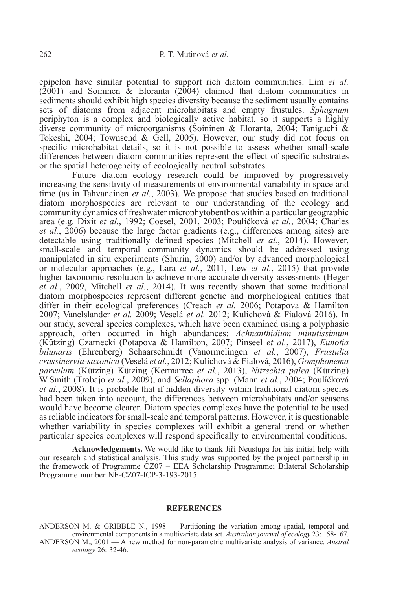epipelon have similar potential to support rich diatom communities. Lim *et al.*  $(2001)$  and Soininen & Eloranta  $(2004)$  claimed that diatom communities in sediments should exhibit high species diversity because the sediment usually contains sets of diatoms from adjacent microhabitats and empty frustules. *Sphagnum* periphyton is a complex and biologically active habitat, so it supports a highly diverse community of microorganisms (Soininen & Eloranta, 2004; Taniguchi & Tokeshi, 2004; Townsend & Gell, 2005). However, our study did not focus on specific microhabitat details, so it is not possible to assess whether small-scale differences between diatom communities represent the effect of specific substrates or the spatial heterogeneity of ecologically neutral substrates.

Future diatom ecology research could be improved by progressively increasing the sensitivity of measurements of environmental variability in space and time (as in Tahvanainen *et al.*, 2003). We propose that studies based on traditional diatom morphospecies are relevant to our understanding of the ecology and community dynamics of freshwater microphytobenthos within a particular geographic area (e.g. Dixit *et al.*, 1992; Coesel, 2001, 2003; Poulíčková *et al.*, 2004; Charles *et al.*, 2006) because the large factor gradients (e.g., differences among sites) are detectable using traditionally defined species (Mitchell *et al.*, 2014). However, small-scale and temporal community dynamics should be addressed using manipulated in situ experiments (Shurin, 2000) and/or by advanced morphological or molecular approaches (e.g., Lara *et al.*, 2011, Lew *et al.*, 2015) that provide higher taxonomic resolution to achieve more accurate diversity assessments (Heger *et al.*, 2009, Mitchell *et al.*, 2014). It was recently shown that some traditional diatom morphospecies represent different genetic and morphological entities that differ in their ecological preferences (Creach *et al.* 2006; Potapova & Hamilton 2007; Vanelslander *et al.* 2009; Veselá *et al.* 2012; Kulichová & Fialová 2016). In our study, several species complexes, which have been examined using a polyphasic approach, often occurred in high abundances: *Achnanthidium minutissimum* (Kützing) Czarnecki (Potapova & Hamilton, 2007; Pinseel *et al.*, 2017), *Eunotia bilunaris* (Ehrenberg) Schaarschmidt (Vanormelingen *et al.*, 2007), *Frustulia crassinervia*-*saxonica* (Veselá *et al.*, 2012; Kulichová & Fialová, 2016), *Gomphonema parvulum* (Kützing) Kützing (Kermarrec *et al.*, 2013), *Nitzschia palea* (Kützing) W.Smith (Trobajo *et al.*, 2009), and *Sellaphora* spp. (Mann *et al.*, 2004; Poulíčková *et al.*, 2008). It is probable that if hidden diversity within traditional diatom species had been taken into account, the differences between microhabitats and/or seasons would have become clearer. Diatom species complexes have the potential to be used as reliable indicators for small-scale and temporal patterns. However, it is questionable whether variability in species complexes will exhibit a general trend or whether particular species complexes will respond specifically to environmental conditions.

**Acknowledgements.** We would like to thank Jiří Neustupa for his initial help with our research and statistical analysis. This study was supported by the project partnership in the framework of Programme CZ07 – EEA Scholarship Programme; Bilateral Scholarship Programme number NF-CZ07-ICP-3-193-2015.

### **REFERENCES**

ANDERSON M. & GRIBBLE N., 1998 — Partitioning the variation among spatial, temporal and environmental components in a multivariate data set. *Australian journal of ecology* 23: 158-167. ANDERSON M., 2001 — A new method for non-parametric multivariate analysis of variance. *Austral ecology* 26: 32-46.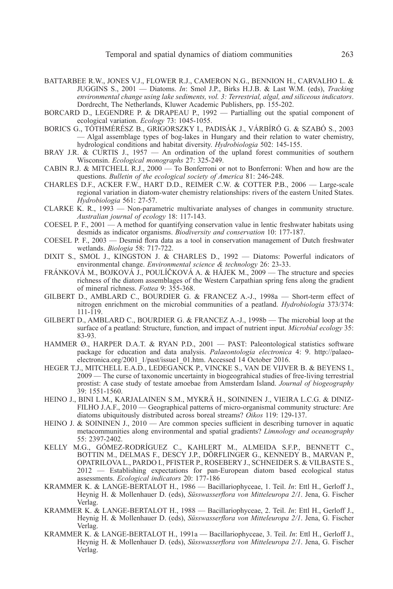- BATTARBEE R.W., JONES V.J., FLOWER R.J., CAMERON N.G., BENNION H., CARVALHO L. & JUGGINS S., 2001 — Diatoms. *In*: Smol J.P., Birks H.J.B. & Last W.M. (eds), *Tracking environmental change using lake sediments, vol. 3: Terrestrial, algal, and siliceous indicators*. Dordrecht, The Netherlands, Kluwer Academic Publishers, pp. 155-202.
- BORCARD D., LEGENDRE P. & DRAPEAU P., 1992 Partialling out the spatial component of ecological variation. *Ecology* 73: 1045-1055.
- BORICS G., TÓTHMÉRÉSZ B., GRIGORSZKY I., PADISÁK J., VÁRBíRÓ G. & SZABÓ S., 2003 — Algal assemblage types of bog-lakes in Hungary and their relation to water chemistry, hydrological conditions and habitat diversity. *Hydrobiologia* 502: 145-155.
- BRAY J.R. & CURTIS J., 1957 An ordination of the upland forest communities of southern Wisconsin. *Ecological monographs* 27: 325-249.
- CABIN R.J. & MITCHELL R.J., 2000 To Bonferroni or not to Bonferroni: When and how are the questions. *Bulletin of the ecological society of America* 81: 246-248.
- CHARLES D.F., ACKER F.W., HART D.D., REIMER C.W.&COTTER P.B., 2006 Large-scale regional variation in diatom-water chemistry relationships: rivers of the eastern United States. *Hydrobiologia* 561: 27-57.
- CLARKE K. R., 1993 Non-parametric multivariate analyses of changes in community structure. *Australian journal of ecology* 18: 117-143.
- COESEL P. F., 2001 A method for quantifying conservation value in lentic freshwater habitats using desmids as indicator organisms. *Biodiversity and conservation* 10: 177-187.
- COESEL P. F., 2003 Desmid flora data as a tool in conservation management of Dutch freshwater wetlands. *Biologia* 58: 717-722.
- DIXIT S., SMOL J., KINGSTON J. & CHARLES D., 1992 Diatoms: Powerful indicators of environmental change. *Environmental science & technology* 26: 23-33.
- FRÁNKOVÁ M., BOJKOVÁ J., POULíČKOVÁ A. & HÁJEK M., 2009 The structure and species richness of the diatom assemblages of the Western Carpathian spring fens along the gradient of mineral richness. *Fottea* 9: 355-368.
- GILBERT D., AMBLARD C., BOURDIER G. & FRANCEZ A.-J., 1998a Short-term effect of nitrogen enrichment on the microbial communities of a peatland. *Hydrobiologia* 373/374: 111-119.
- GILBERT D., AMBLARD C., BOURDIER G. & FRANCEZ A.-J., 1998b The microbial loop at the surface of a peatland: Structure, function, and impact of nutrient input. *Microbial ecology* 35: 83-93.
- HAMMER Ø., HARPER D.A.T. & RYAN P.D., 2001 PAST: Paleontological statistics software package for education and data analysis. *Palaeontologia electronica* 4: 9. http://palaeoelectronica.org/2001\_1/past/issue1\_01.htm. Accessed 14 October 2016.
- HEGER T.J., MITCHELL E.A.D., LEDEGANCK P., VINCKE S., VAN DE VIJVER B. & BEYENS I., 2009 — The curse of taxonomic uncertainty in biogeograhical studies of free-living terrestrial prostist: A case study of testate amoebae from Amsterdam Island. *Journal of biogeography* 39: 1551-1560.
- HEINO J., BINI L.M., KARJALAINEN S.M., MYKRä H., SOININEN J., VIEIRA L.C.G. & DINIZ-FILHO J.A.F., 2010 — Geographical patterns of micro-organismal community structure: Are diatoms ubiquitously distributed across boreal streams? *Oikos* 119: 129-137.
- HEINO J. & SOININEN J., 2010 Are common species sufficient in describing turnover in aquatic metacommunities along environmental and spatial gradients? *Limnology and oceanography* 55: 2397-2402.
- KELLY M.G., GÓMEZ-RODRíGUEZ C., KAHLERT M., ALMEIDA S.F.P., BENNETT C., BOTTIN M., DELMAS F., DESCY J.P., DÖRFLINGER G., KENNEDY B., MARVAN P., OPATRILOVA L., PARDO I., PFISTER P., ROSEBERY J., SCHNEIDER S. & VILBASTE S., 2012 — Establishing expectations for pan-European diatom based ecological status assessments. *Ecological indicators* 20: 177-186
- KRAMMER K. & LANGE-BERTALOT H., 1986 Bacillariophyceae, 1. Teil. *In*: Ettl H., Gerloff J., Heynig H. & Mollenhauer D. (eds), *Süsswasserflora von Mitteleuropa 2/1*. Jena, G. Fischer Verlag.
- KRAMMER K. & LANGE-BERTALOT H., 1988 Bacillariophyceae, 2. Teil. *In*: Ettl H., Gerloff J., Heynig H. & Mollenhauer D. (eds), *Süsswasserflora von Mitteleuropa 2/1*. Jena, G. Fischer Verlag.
- KRAMMER K. & LANGE-BERTALOT H., 1991a Bacillariophyceae, 3. Teil. *In*: Ettl H., Gerloff J., Heynig H. & Mollenhauer D. (eds), *Süsswasserflora von Mitteleuropa 2/1*. Jena, G. Fischer Verlag.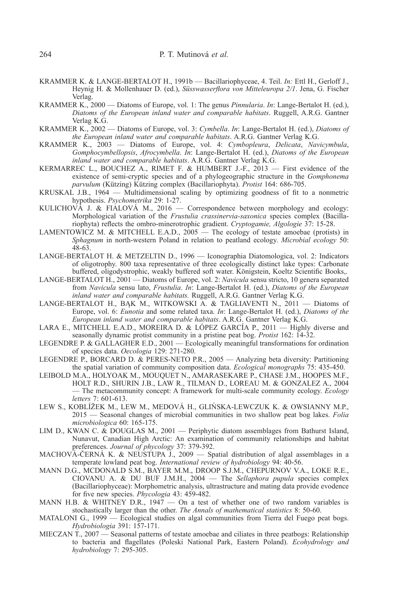- KRAMMER K. & LANGE-BERTALOT H., 1991b Bacillariophyceae, 4. Teil. *In:* Ettl H., Gerloff J., Heynig H. & Mollenhauer D. (ed.), *Süsswasserflora von Mitteleuropa 2/1*. Jena, G. Fischer Verlag.
- KRAMMER K., 2000 Diatoms of Europe, vol. 1: The genus *Pinnularia*. *In*: Lange-Bertalot H. (ed.), *Diatoms of the European inland water and comparable habitats*. Ruggell, A.R.G. Gantner Verlag K.G.
- KRAMMER K., 2002 Diatoms of Europe, vol. 3: *Cymbella*. *In*: Lange-Bertalot H. (ed.), *Diatoms of the European inland water and comparable habitats*. A.R.G. Gantner Verlag K.G.
- KRAMMER K., 2003 Diatoms of Europe, vol. 4: *Cymbopleura*, *Delicata*, *Navicymbula*, *Gomphocymbellopsis*, *Afrocymbella*. *In*: Lange-Bertalot H. (ed.), *Diatoms of the European inland water and comparable habitats*. A.R.G. Gantner Verlag K.G.
- KERMARREC L., BOUCHEZ A., RIMET F. & HUMBERT J.-F., 2013 First evidence of the existence of semi-cryptic species and of a phylogeographic structure in the *Gomphonema parvulum* (Kützing) Kützing complex (Bacillariophyta). *Protist* 164: 686-705.
- KRUSKAL J.B., 1964 Multidimensional scaling by optimizing goodness of fit to a nonmetric hypothesis. *Psychometrika* 29: 1-27.
- KULICHOVÁ J. & FIALOVÁ M., 2016 Correspondence between morphology and ecology: Morphological variation of the *Frustulia crassinervia-saxonica* species complex (Bacillariophyta) reflects the ombro-minerotrophic gradient. *Cryptogamie, Algologie* 37: 15-28.
- LAMENTOWICZ M. & MITCHELL E.A.D., 2005 The ecology of testate amoebae (protists) in *Sphagnum* in north-western Poland in relation to peatland ecology. *Microbial ecology* 50:  $48-63$ .
- LANGE-BERTALOT H. & METZELTIN D., 1996 Iconographia Diatomologica, vol. 2: Indicators of oligotrophy. 800 taxa representative of three ecologically distinct lake types: Carbonate buffered, oligodystrophic, weakly buffered soft water. Königstein, Koeltz Scientific Books,.
- LANGE-BERTALOT H., 2001 Diatoms of Europe, vol. 2: *Navicula* sensu stricto, 10 genera separated from *Navicula* sensu lato, *Frustulia*. *In*: Lange-Bertalot H. (ed.), *Diatoms of the European inland water and comparable habitats.* Ruggell, A.R.G. Gantner Verlag K.G.
- LANGE-BERTALOT H., BĄK M., WITKOWSKI A. & TAGLIAVENTI N., 2011 Diatoms of Europe, vol. 6: *Eunotia* and some related taxa. *In*: Lange-Bertalot H. (ed.), *Diatoms of the European inland water and comparable habitats*. A.R.G. Gantner Verlag K.G.
- LARA E., MITCHELL E.A.D., MOREIRA D. & LÓPEZ GARCíA P., 2011 Highly diverse and seasonally dynamic protist community in a pristine peat bog. *Protist* 162: 14-32.
- LEGENDRE P. & GALLAGHER E.D., 2001 Ecologically meaningful transformations for ordination of species data. *Oecologia* 129: 271-280.
- LEGENDRE P., BORCARD D. & PERES-NETO P.R., 2005 Analyzing beta diversity: Partitioning the spatial variation of community composition data. *Ecological monographs* 75: 435-450.
- LEIBOLD M.A., HOLYOAK M., MOUQUET N., AMARASEKARE P., CHASE J.M., HOOPES M.F., HOLT R.D., SHURIN J.B., LAW R., TILMAN D., LOREAU M. & GONZALEZ A., 2004 — The metacommunity concept: A framework for multi-scale community ecology. *Ecology letters* 7: 601-613.
- LEW S., KOBLíŽEK M., LEW M., MEDOVÁ H., GLIŃSKA-LEWCZUK K. & OWSIANNY M.P., 2015 — Seasonal changes of microbial communities in two shallow peat bog lakes. *Folia microbiologica* 60: 165-175.
- LIM D., KWAN C. & DOUGLAS M., 2001 Periphytic diatom assemblages from Bathurst Island, Nunavut, Canadian High Arctic: An examination of community relationships and habitat preferences. *Journal of phycology* 37: 379-392.
- MACHOVÁ-ČERNÁ K. & NEUSTUPA J., 2009 Spatial distribution of algal assemblages in a temperate lowland peat bog. *International review of hydrobiology* 94: 40-56.
- MANN D.G., MCDONALD S.M., BAYER M.M., DROOP S.J.M., CHEPURNOV V.A., LOKE R.E., CIOVANU A. & DU BUF J.M.H., 2004 — The *Sellaphora pupula* species complex (Bacillariophyceae): Morphometric analysis, ultrastructure and mating data provide evodence for five new species. *Phycologia* 43: 459-482.
- MANN H.B. & WHITNEY D.R.,  $1947 -$  On a test of whether one of two random variables is stochastically larger than the other. *The Annals of mathematical statistics* 8: 50-60.
- MATALONI G., 1999 Ecological studies on algal communities from Tierra del Fuego peat bogs. *Hydrobiologia* 391: 157-171.
- MIECZAN T., 2007 Seasonal patterns of testate amoebae and ciliates in three peatbogs: Relationship to bacteria and flagellates (Poleski National Park, Eastern Poland). *Ecohydrology and hydrobiology* 7: 295-305.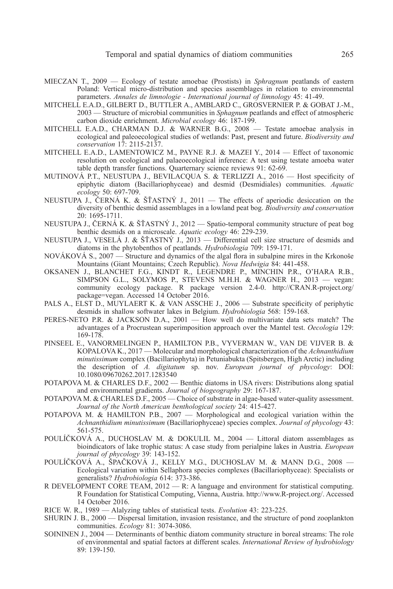- MIECZAN T., 2009 Ecology of testate amoebae (Prostists) in *Sphragnum* peatlands of eastern Poland: Vertical micro-distribution and species assemblages in relation to environmental parameters. *Annales de limnologie - International journal of limnology* 45: 41-49.
- MITCHELL E.A.D., GILBERT D., BUTTLER A., AMBLARD C., GROSVERNIER P. & GOBAT J.-M., 2003 — Structure of microbial communities in *Sphagnum* peatlands and effect of atmospheric carbon dioxide enrichment. *Microbial ecology* 46: 187-199.
- MITCHELL E.A.D., CHARMAN D.J. & WARNER B.G., 2008 Testate amoebae analysis in ecological and paleoecological studies of wetlands: Past, present and future. *Biodiversity and conservation* 17: 2115-2137.
- MITCHELL E.A.D., LAMENTOWICZ M., PAYNE R.J. & MAZEI Y., 2014 Effect of taxonomic resolution on ecological and palaeoecological inference: A test using testate amoeba water table depth transfer functions. Quarternary science reviews 91: 62-69.
- MUTINOVÁ P.T., NEUSTUPA J., BEVILACQUA S. & TERLIZZI A., 2016 Host specificity of epiphytic diatom (Bacillariophyceae) and desmid (Desmidiales) communities. *Aquatic ecology* 50: 697-709.
- NEUSTUPA J., CERNÁ K. & ŠŤASTNÝ J., 2011 The effects of aperiodic desiccation on the diversity of benthic desmid assemblages in a lowland peat bog. *Biodiversity and conservation* 20: 1695-1711.
- NEUSTUPA J., ČERNÁ K. & ŠŤASTNÝ J., 2012 Spatio-temporal community structure of peat bog benthic desmids on a microscale. *Aquatic ecology* 46: 229-239.
- NEUSTUPA J., VESELÁ J. & ŠŤASTNÝ J., 2013 Differential cell size structure of desmids and diatoms in the phytobenthos of peatlands. *Hydrobiologia* 709: 159-171.
- NOVÁKOVÁ S., 2007 Structure and dynamics of the algal flora in subalpine mires in the Krkonoše Mountains (Giant Mountains; Czech Republic). *Nova Hedwigia* 84: 441-458.
- OKSANEN J., BLANCHET F.G., KINDT R., LEGENDRE P., MINCHIN P.R., O'HARA R.B., SIMPSON G.L., SOLYMOS P., STEVENS M.H.H. & WAGNER H., 2013 — vegan: community ecology package. R package version 2.4-0. http://CRAN.R-project.org/ package=vegan. Accessed 14 October 2016.
- PALS A., ELST D., MUYLAERT K. & VAN ASSCHE J., 2006 Substrate specificity of periphytic desmids in shallow softwater lakes in Belgium. *Hydrobiologia* 568: 159-168.
- PERES-NETO P.R. & JACKSON D.A., 2001 How well do multivariate data sets match? The advantages of a Procrustean superimposition approach over the Mantel test. *Oecologia* 129: 169-178.
- PINSEEL E., VANORMELINGEN P., HAMILTON P.B., VYVERMAN W., VAN DE VIJVER B. & KOPALOVA K., 2017 — Molecular and morphological characterization of the *Achnanthidium minutissimum* complex (Bacillariophyta) in Petuniabukta (Spitsbergen, High Arctic) including the description of *A. digitatum* sp. nov. *European journal of phycology*: DOI: 10.1080/09670262.2017.1283540
- POTAPOVA M.&CHARLES D.F., 2002 Benthic diatoms in USA rivers: Distributions along spatial and environmental gradients. *Journal of biogeography* 29: 167-187.
- POTAPOVA M.&CHARLES D.F., 2005 Choice of substrate in algae-based water-quality assessment. *Journal of the North American benthological society* 24: 415-427.
- POTAPOVA M.&HAMILTON P.B., 2007 Morphological and ecological variation within the *Achnanthidium minutissimum* (Bacillariophyceae) species complex. *Journal of phycology* 43: 561-575.
- POULíČKOVÁ A., DUCHOSLAV M.&DOKULIL M., 2004 Littoral diatom assemblages as bioindicators of lake trophic status: A case study from perialpine lakes in Austria. *European journal of phycology* 39: 143-152.
- POULÍČKOVÁ A., ŠPAČKOVÁ J., KELLY M.G., DUCHOSLAV M. & MANN D.G., 2008 -Ecological variation within Sellaphora species complexes (Bacillariophyceae): Specialists or generalists? *Hydrobiologia* 614: 373-386.
- R DEVELOPMENT CORE TEAM,  $2012 R$ : A language and environment for statistical computing. R Foundation for Statistical Computing, Vienna, Austria. http://www.R-project.org/. Accessed 14 October 2016.
- RICE W. R., 1989 Alalyzing tables of statistical tests. *Evolution* 43: 223-225.
- SHURIN J. B., 2000 Dispersal limitation, invasion resistance, and the structure of pond zooplankton communities. *Ecology* 81: 3074-3086.
- SOININEN J., 2004 Determinants of benthic diatom community structure in boreal streams: The role of environmental and spatial factors at different scales. *International Review of hydrobiology* 89: 139-150.